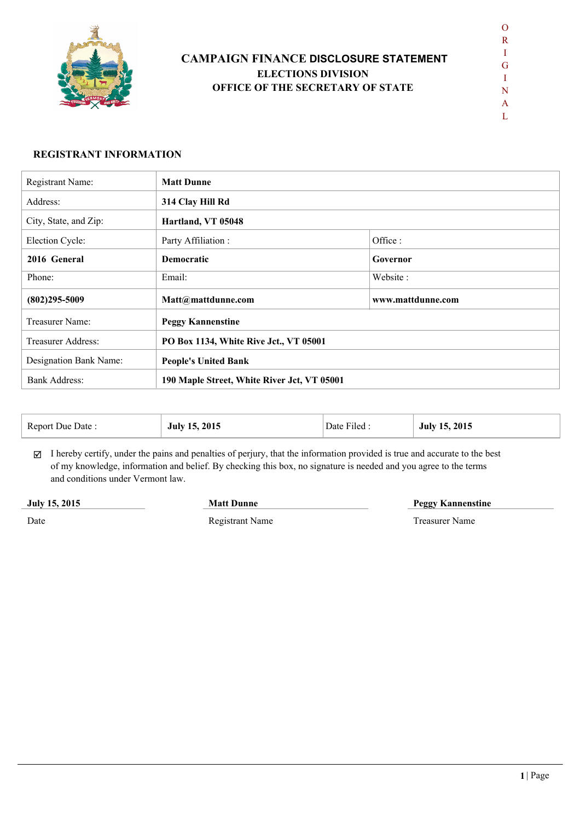

# **CAMPAIGN FINANCE DISCLOSURE STATEMENT ELECTIONS DIVISION OFFICE OF THE SECRETARY OF STATE**

 $\mathbf{L}$ 

#### **REGISTRANT INFORMATION**

| Registrant Name:       | <b>Matt Dunne</b>                           |                   |  |  |  |
|------------------------|---------------------------------------------|-------------------|--|--|--|
| Address:               | 314 Clay Hill Rd                            |                   |  |  |  |
| City, State, and Zip:  | Hartland, VT 05048                          |                   |  |  |  |
| Election Cycle:        | Party Affiliation :                         | Office:           |  |  |  |
| 2016 General           | <b>Democratic</b>                           | Governor          |  |  |  |
| Phone:                 | Email:                                      | Website:          |  |  |  |
| $(802)295 - 5009$      | Matt@mattdunne.com                          | www.mattdunne.com |  |  |  |
| Treasurer Name:        | <b>Peggy Kannenstine</b>                    |                   |  |  |  |
| Treasurer Address:     | PO Box 1134, White Rive Jct., VT 05001      |                   |  |  |  |
| Designation Bank Name: | <b>People's United Bank</b>                 |                   |  |  |  |
| <b>Bank Address:</b>   | 190 Maple Street, White River Jct, VT 05001 |                   |  |  |  |

| Report Due Date : | 2015 | $-1$  | 15, 2015 |
|-------------------|------|-------|----------|
|                   | 15   | Date  | July 15  |
|                   | July | Filed | ___      |

 $\boxtimes$  I hereby certify, under the pains and penalties of perjury, that the information provided is true and accurate to the best of my knowledge, information and belief. By checking this box, no signature is needed and you agree to the terms and conditions under Vermont law.

**July 15, 2015**

**Matt Dunne Peggy Kannenstine**

Date

Registrant Name Treasurer Name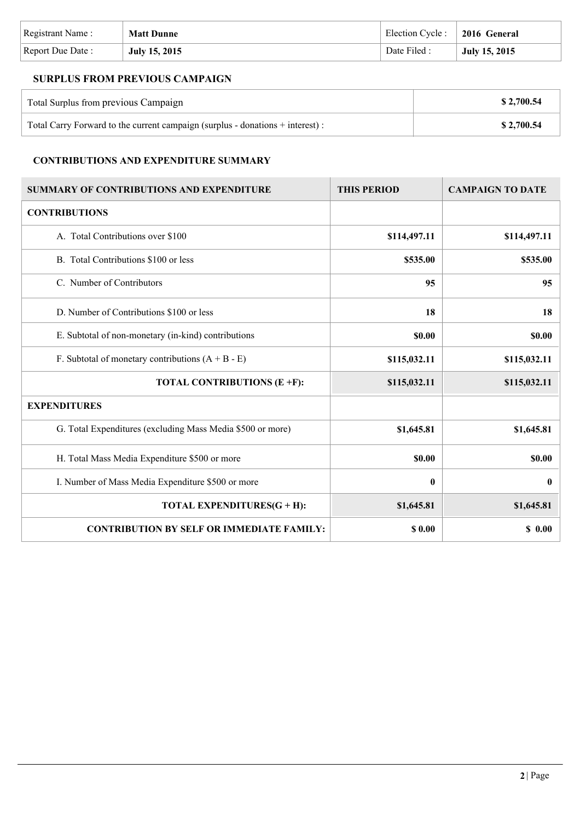| Registrant Name: | <b>Matt Dunne</b>    | Election Cycle : 2016 General |               |
|------------------|----------------------|-------------------------------|---------------|
| Report Due Date: | <b>July 15, 2015</b> | Date Filed :                  | July 15, 2015 |

## **SURPLUS FROM PREVIOUS CAMPAIGN**

| Total Surplus from previous Campaign                                           | \$2,700.54 |
|--------------------------------------------------------------------------------|------------|
| Total Carry Forward to the current campaign (surplus - donations + interest) : | \$2,700.54 |

### **CONTRIBUTIONS AND EXPENDITURE SUMMARY**

| <b>SUMMARY OF CONTRIBUTIONS AND EXPENDITURE</b>            | <b>THIS PERIOD</b> | <b>CAMPAIGN TO DATE</b> |
|------------------------------------------------------------|--------------------|-------------------------|
| <b>CONTRIBUTIONS</b>                                       |                    |                         |
| A. Total Contributions over \$100                          | \$114,497.11       | \$114,497.11            |
| B. Total Contributions \$100 or less                       | \$535.00           | \$535.00                |
| C. Number of Contributors                                  | 95                 | 95                      |
| D. Number of Contributions \$100 or less                   | 18                 | 18                      |
| E. Subtotal of non-monetary (in-kind) contributions        | \$0.00             | \$0.00                  |
| F. Subtotal of monetary contributions $(A + B - E)$        | \$115,032.11       | \$115,032.11            |
| TOTAL CONTRIBUTIONS (E +F):                                | \$115,032.11       | \$115,032.11            |
| <b>EXPENDITURES</b>                                        |                    |                         |
| G. Total Expenditures (excluding Mass Media \$500 or more) | \$1,645.81         | \$1,645.81              |
| H. Total Mass Media Expenditure \$500 or more              | \$0.00             | \$0.00                  |
| I. Number of Mass Media Expenditure \$500 or more          | $\bf{0}$           | $\boldsymbol{0}$        |
| TOTAL EXPENDITURES(G + H):                                 | \$1,645.81         | \$1,645.81              |
| <b>CONTRIBUTION BY SELF OR IMMEDIATE FAMILY:</b>           | \$0.00             | \$0.00                  |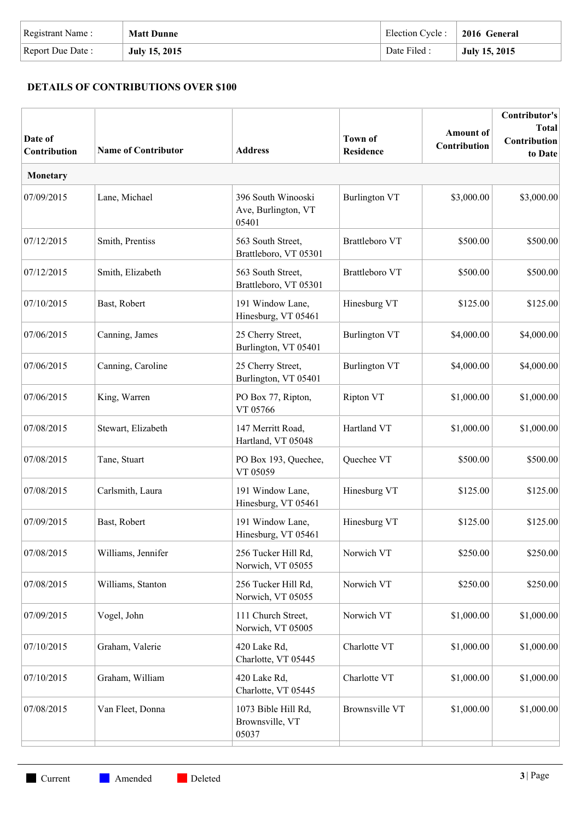| Registrant Name: | <b>Matt Dunne</b> | Election Cycle: | 2016 General  |
|------------------|-------------------|-----------------|---------------|
| Report Due Date: | July 15, 2015     | Date Filed:     | July 15, 2015 |

## **DETAILS OF CONTRIBUTIONS OVER \$100**

| Date of<br>Contribution | <b>Name of Contributor</b> | <b>Address</b>                                     | <b>Town of</b><br><b>Residence</b> | <b>Amount</b> of<br>Contribution | Contributor's<br><b>Total</b><br>Contribution<br>to Date |
|-------------------------|----------------------------|----------------------------------------------------|------------------------------------|----------------------------------|----------------------------------------------------------|
| Monetary                |                            |                                                    |                                    |                                  |                                                          |
| 07/09/2015              | Lane, Michael              | 396 South Winooski<br>Ave, Burlington, VT<br>05401 | <b>Burlington VT</b>               | \$3,000.00                       | \$3,000.00                                               |
| 07/12/2015              | Smith, Prentiss            | 563 South Street,<br>Brattleboro, VT 05301         | Brattleboro VT                     | \$500.00                         | \$500.00                                                 |
| 07/12/2015              | Smith, Elizabeth           | 563 South Street,<br>Brattleboro, VT 05301         | <b>Brattleboro VT</b>              | \$500.00                         | \$500.00                                                 |
| 07/10/2015              | Bast, Robert               | 191 Window Lane,<br>Hinesburg, VT 05461            | Hinesburg VT                       | \$125.00                         | \$125.00                                                 |
| 07/06/2015              | Canning, James             | 25 Cherry Street,<br>Burlington, VT 05401          | <b>Burlington VT</b>               | \$4,000.00                       | \$4,000.00                                               |
| 07/06/2015              | Canning, Caroline          | 25 Cherry Street,<br>Burlington, VT 05401          | <b>Burlington VT</b>               | \$4,000.00                       | \$4,000.00                                               |
| 07/06/2015              | King, Warren               | PO Box 77, Ripton,<br>VT 05766                     | Ripton VT                          | \$1,000.00                       | \$1,000.00                                               |
| 07/08/2015              | Stewart, Elizabeth         | 147 Merritt Road,<br>Hartland, VT 05048            | Hartland VT                        | \$1,000.00                       | \$1,000.00                                               |
| 07/08/2015              | Tane, Stuart               | PO Box 193, Quechee,<br>VT 05059                   | Quechee VT                         | \$500.00                         | \$500.00                                                 |
| 07/08/2015              | Carlsmith, Laura           | 191 Window Lane,<br>Hinesburg, VT 05461            | Hinesburg VT                       | \$125.00                         | \$125.00                                                 |
| 07/09/2015              | Bast, Robert               | 191 Window Lane,<br>Hinesburg, VT 05461            | Hinesburg VT                       | \$125.00                         | \$125.00                                                 |
| 07/08/2015              | Williams, Jennifer         | 256 Tucker Hill Rd,<br>Norwich, VT 05055           | Norwich VT                         | \$250.00                         | \$250.00                                                 |
| 07/08/2015              | Williams, Stanton          | 256 Tucker Hill Rd,<br>Norwich, VT 05055           | Norwich VT                         | \$250.00                         | \$250.00                                                 |
| 07/09/2015              | Vogel, John                | 111 Church Street,<br>Norwich, VT 05005            | Norwich VT                         | \$1,000.00                       | \$1,000.00                                               |
| 07/10/2015              | Graham, Valerie            | 420 Lake Rd,<br>Charlotte, VT 05445                | Charlotte VT                       | \$1,000.00                       | \$1,000.00                                               |
| 07/10/2015              | Graham, William            | 420 Lake Rd,<br>Charlotte, VT 05445                | Charlotte VT                       | \$1,000.00                       | \$1,000.00                                               |
| 07/08/2015              | Van Fleet, Donna           | 1073 Bible Hill Rd,<br>Brownsville, VT<br>05037    | <b>Brownsville VT</b>              | \$1,000.00                       | \$1,000.00                                               |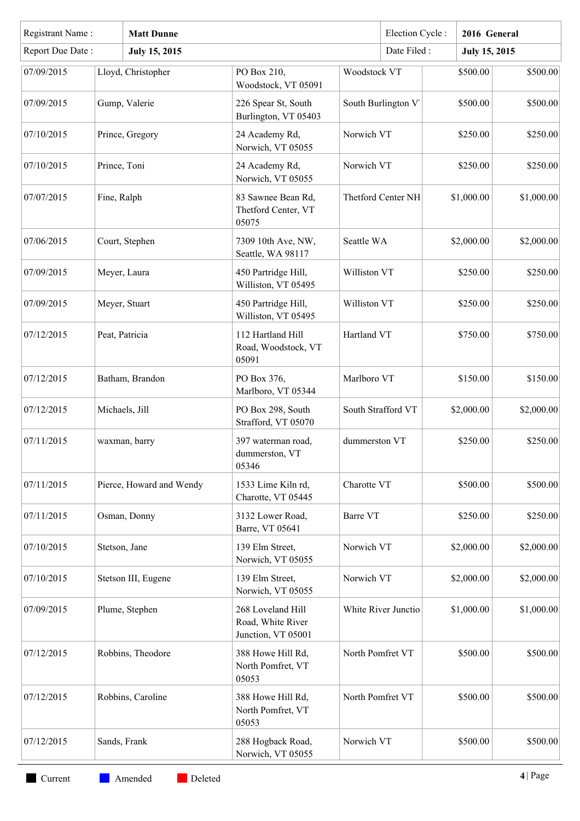|                  | Registrant Name:<br><b>Matt Dunne</b> |                          |                                                              | Election Cycle:     | 2016 General                     |                      |            |
|------------------|---------------------------------------|--------------------------|--------------------------------------------------------------|---------------------|----------------------------------|----------------------|------------|
| Report Due Date: |                                       | <b>July 15, 2015</b>     |                                                              |                     | Date Filed:                      | <b>July 15, 2015</b> |            |
| 07/09/2015       |                                       | Lloyd, Christopher       | PO Box 210,<br>Woodstock, VT 05091                           | Woodstock VT        |                                  | \$500.00             | \$500.00   |
| 07/09/2015       |                                       | Gump, Valerie            | 226 Spear St, South<br>Burlington, VT 05403                  | South Burlington V  |                                  | \$500.00             | \$500.00   |
| 07/10/2015       |                                       | Prince, Gregory          | 24 Academy Rd,<br>Norwich, VT 05055                          | Norwich VT          |                                  | \$250.00             | \$250.00   |
| 07/10/2015       | Prince, Toni                          |                          | 24 Academy Rd,<br>Norwich, VT 05055                          | Norwich VT          |                                  | \$250.00             | \$250.00   |
| 07/07/2015       | Fine, Ralph                           |                          | 83 Sawnee Bean Rd,<br>Thetford Center, VT<br>05075           | Thetford Center NH  |                                  | \$1,000.00           | \$1,000.00 |
| 07/06/2015       |                                       | Court, Stephen           | 7309 10th Ave, NW,<br>Seattle, WA 98117                      | Seattle WA          |                                  | \$2,000.00           | \$2,000.00 |
| 07/09/2015       |                                       | Meyer, Laura             | 450 Partridge Hill,<br>Williston, VT 05495                   | Williston VT        |                                  | \$250.00             | \$250.00   |
| 07/09/2015       |                                       | Meyer, Stuart            | 450 Partridge Hill,<br>Williston, VT 05495                   | Williston VT        |                                  | \$250.00             | \$250.00   |
| 07/12/2015       |                                       | Peat, Patricia           | 112 Hartland Hill<br>Road, Woodstock, VT<br>05091            | Hartland VT         | \$750.00                         |                      | \$750.00   |
| 07/12/2015       |                                       | Batham, Brandon          | PO Box 376,<br>Marlboro, VT 05344                            | Marlboro VT         |                                  | \$150.00             | \$150.00   |
| 07/12/2015       |                                       | Michaels, Jill           | PO Box 298, South<br>Strafford, VT 05070                     |                     | South Strafford VT<br>\$2,000.00 |                      | \$2,000.00 |
| 07/11/2015       |                                       | waxman, barry            | 397 waterman road,<br>dummerston, VT<br>05346                | dummerston VT       |                                  | \$250.00             | \$250.00   |
| 07/11/2015       |                                       | Pierce, Howard and Wendy | 1533 Lime Kiln rd,<br>Charotte, VT 05445                     | Charotte VT         |                                  | \$500.00             | \$500.00   |
| 07/11/2015       |                                       | Osman, Donny             | 3132 Lower Road,<br>Barre, VT 05641                          | Barre VT            |                                  | \$250.00             | \$250.00   |
| 07/10/2015       |                                       | Stetson, Jane            | 139 Elm Street,<br>Norwich, VT 05055                         | Norwich VT          |                                  | \$2,000.00           | \$2,000.00 |
| 07/10/2015       |                                       | Stetson III, Eugene      | 139 Elm Street,<br>Norwich, VT 05055                         | Norwich VT          | \$2,000.00                       |                      | \$2,000.00 |
| 07/09/2015       |                                       | Plume, Stephen           | 268 Loveland Hill<br>Road, White River<br>Junction, VT 05001 | White River Junctio |                                  | \$1,000.00           | \$1,000.00 |
| 07/12/2015       |                                       | Robbins, Theodore        | 388 Howe Hill Rd,<br>North Pomfret, VT<br>05053              | North Pomfret VT    |                                  | \$500.00             | \$500.00   |
| 07/12/2015       |                                       | Robbins, Caroline        | 388 Howe Hill Rd,<br>North Pomfret, VT<br>05053              | North Pomfret VT    |                                  | \$500.00             | \$500.00   |
| 07/12/2015       |                                       | Sands, Frank             | 288 Hogback Road,<br>Norwich, VT 05055                       | Norwich VT          |                                  | \$500.00             | \$500.00   |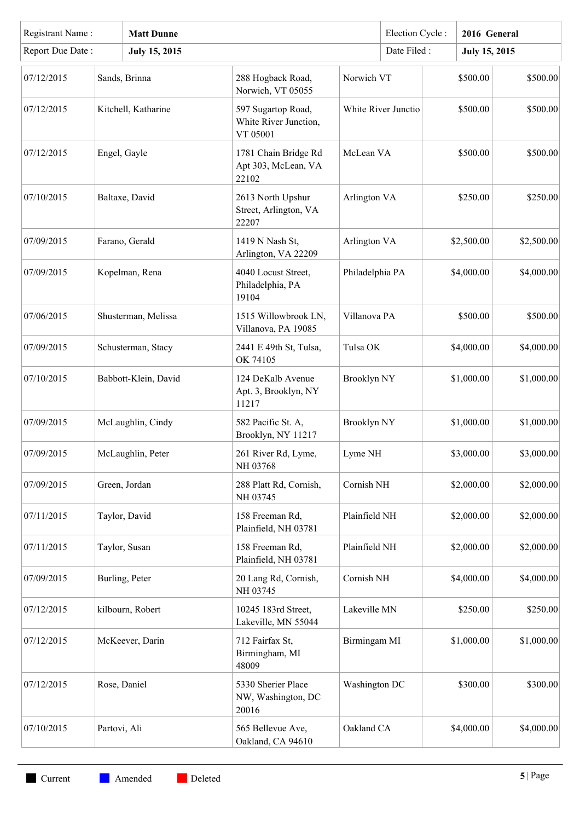| Registrant Name: |              | <b>Matt Dunne</b>    |                                                         |               | Election Cycle:     |            | 2016 General         |            |            |            |            |            |
|------------------|--------------|----------------------|---------------------------------------------------------|---------------|---------------------|------------|----------------------|------------|------------|------------|------------|------------|
| Report Due Date: |              | <b>July 15, 2015</b> |                                                         |               | Date Filed:         |            | <b>July 15, 2015</b> |            |            |            |            |            |
| 07/12/2015       |              | Sands, Brinna        | 288 Hogback Road,<br>Norwich, VT 05055                  |               | Norwich VT          |            | \$500.00             | \$500.00   |            |            |            |            |
| 07/12/2015       |              | Kitchell, Katharine  | 597 Sugartop Road,<br>White River Junction,<br>VT 05001 |               | White River Junctio |            | \$500.00             | \$500.00   |            |            |            |            |
| 07/12/2015       |              | Engel, Gayle         | 1781 Chain Bridge Rd<br>Apt 303, McLean, VA<br>22102    | McLean VA     |                     |            | \$500.00             | \$500.00   |            |            |            |            |
| 07/10/2015       |              | Baltaxe, David       | 2613 North Upshur<br>Street, Arlington, VA<br>22207     | Arlington VA  |                     |            | \$250.00             | \$250.00   |            |            |            |            |
| 07/09/2015       |              | Farano, Gerald       | 1419 N Nash St,<br>Arlington, VA 22209                  | Arlington VA  |                     |            | \$2,500.00           | \$2,500.00 |            |            |            |            |
| 07/09/2015       |              | Kopelman, Rena       | 4040 Locust Street,<br>Philadelphia, PA<br>19104        |               |                     |            | Philadelphia PA      |            |            |            | \$4,000.00 | \$4,000.00 |
| 07/06/2015       |              | Shusterman, Melissa  | 1515 Willowbrook LN,<br>Villanova, PA 19085             | Villanova PA  |                     | \$500.00   |                      | \$500.00   |            |            |            |            |
| 07/09/2015       |              | Schusterman, Stacy   | 2441 E 49th St, Tulsa,<br>OK 74105                      | Tulsa OK      |                     | \$4,000.00 |                      | \$4,000.00 |            |            |            |            |
| 07/10/2015       |              | Babbott-Klein, David | 124 DeKalb Avenue<br>Apt. 3, Brooklyn, NY<br>11217      |               | <b>Brooklyn NY</b>  |            |                      |            | \$1,000.00 | \$1,000.00 |            |            |
| 07/09/2015       |              | McLaughlin, Cindy    | 582 Pacific St. A,<br>Brooklyn, NY 11217                |               | <b>Brooklyn NY</b>  |            | \$1,000.00           | \$1,000.00 |            |            |            |            |
| 07/09/2015       |              | McLaughlin, Peter    | 261 River Rd, Lyme,<br>NH 03768                         |               | Lyme NH             |            | \$3,000.00           | \$3,000.00 |            |            |            |            |
| 07/09/2015       |              | Green, Jordan        | 288 Platt Rd, Cornish,<br>NH 03745                      |               | Cornish NH          |            | \$2,000.00           | \$2,000.00 |            |            |            |            |
| 07/11/2015       |              | Taylor, David        | 158 Freeman Rd,<br>Plainfield, NH 03781                 |               | Plainfield NH       |            | \$2,000.00           | \$2,000.00 |            |            |            |            |
| 07/11/2015       |              | Taylor, Susan        | 158 Freeman Rd,<br>Plainfield, NH 03781                 | Plainfield NH |                     |            | \$2,000.00           | \$2,000.00 |            |            |            |            |
| 07/09/2015       |              | Burling, Peter       | 20 Lang Rd, Cornish,<br>NH 03745                        |               | Cornish NH          |            | \$4,000.00           | \$4,000.00 |            |            |            |            |
| 07/12/2015       |              | kilbourn, Robert     | 10245 183rd Street,<br>Lakeville, MN 55044              | Lakeville MN  |                     | \$250.00   |                      | \$250.00   |            |            |            |            |
| 07/12/2015       |              | McKeever, Darin      | 712 Fairfax St,<br>Birmingham, MI<br>48009              | Birmingam MI  |                     |            |                      |            | \$1,000.00 | \$1,000.00 |            |            |
| 07/12/2015       |              | Rose, Daniel         | 5330 Sherier Place<br>NW, Washington, DC<br>20016       | Washington DC |                     |            | \$300.00             | \$300.00   |            |            |            |            |
| 07/10/2015       | Partovi, Ali |                      | 565 Bellevue Ave,<br>Oakland, CA 94610                  | Oakland CA    |                     |            | \$4,000.00           | \$4,000.00 |            |            |            |            |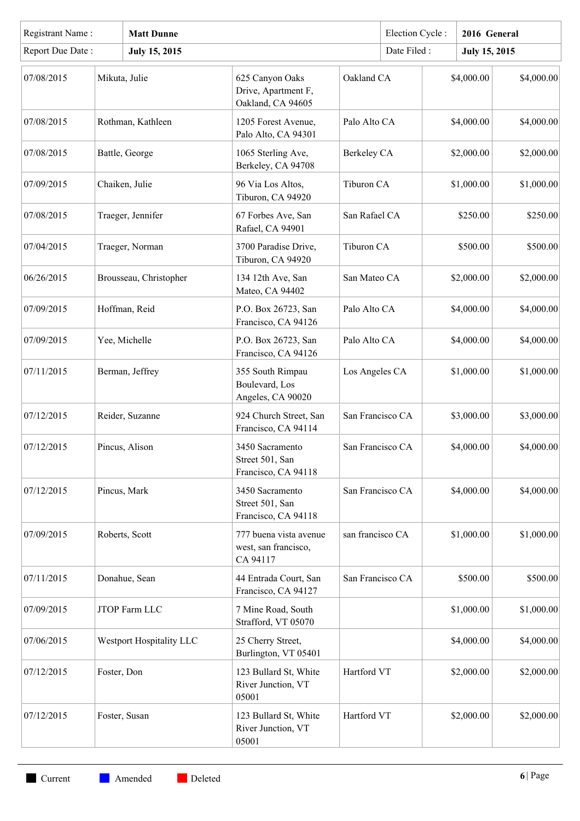| Registrant Name: | <b>Matt Dunne</b> |                          |                                                             | Election Cycle:  |                  | 2016 General |                      |            |
|------------------|-------------------|--------------------------|-------------------------------------------------------------|------------------|------------------|--------------|----------------------|------------|
| Report Due Date: |                   | <b>July 15, 2015</b>     |                                                             |                  | Date Filed:      |              | <b>July 15, 2015</b> |            |
| 07/08/2015       |                   | Mikuta, Julie            | 625 Canyon Oaks<br>Drive, Apartment F,<br>Oakland, CA 94605 | Oakland CA       |                  |              | \$4,000.00           | \$4,000.00 |
| 07/08/2015       |                   | Rothman, Kathleen        | 1205 Forest Avenue,<br>Palo Alto, CA 94301                  | Palo Alto CA     |                  |              | \$4,000.00           | \$4,000.00 |
| 07/08/2015       |                   | Battle, George           | 1065 Sterling Ave,<br>Berkeley, CA 94708                    | Berkeley CA      |                  |              | \$2,000.00           | \$2,000.00 |
| 07/09/2015       |                   | Chaiken, Julie           | 96 Via Los Altos,<br>Tiburon, CA 94920                      | Tiburon CA       |                  |              | \$1,000.00           | \$1,000.00 |
| 07/08/2015       |                   | Traeger, Jennifer        | 67 Forbes Ave, San<br>Rafael, CA 94901                      | San Rafael CA    |                  |              | \$250.00             | \$250.00   |
| 07/04/2015       |                   | Traeger, Norman          | 3700 Paradise Drive,<br>Tiburon, CA 94920                   | Tiburon CA       |                  |              | \$500.00             | \$500.00   |
| 06/26/2015       |                   | Brousseau, Christopher   | 134 12th Ave, San<br>Mateo, CA 94402                        | San Mateo CA     |                  |              | \$2,000.00           | \$2,000.00 |
| 07/09/2015       |                   | Hoffman, Reid            | P.O. Box 26723, San<br>Francisco, CA 94126                  | Palo Alto CA     |                  |              | \$4,000.00           | \$4,000.00 |
| 07/09/2015       |                   | Yee, Michelle            | P.O. Box 26723, San<br>Francisco, CA 94126                  | Palo Alto CA     |                  |              | \$4,000.00           | \$4,000.00 |
| 07/11/2015       |                   | Berman, Jeffrey          | 355 South Rimpau<br>Boulevard, Los<br>Angeles, CA 90020     |                  | Los Angeles CA   |              | \$1,000.00           | \$1,000.00 |
| 07/12/2015       |                   | Reider, Suzanne          | 924 Church Street, San<br>Francisco, CA 94114               |                  | San Francisco CA |              | \$3,000.00           | \$3,000.00 |
| 07/12/2015       |                   | Pincus, Alison           | 3450 Sacramento<br>Street 501, San<br>Francisco, CA 94118   | San Francisco CA |                  |              | \$4,000.00           | \$4,000.00 |
| 07/12/2015       |                   | Pincus, Mark             | 3450 Sacramento<br>Street 501, San<br>Francisco, CA 94118   | San Francisco CA |                  |              | \$4,000.00           | \$4,000.00 |
| 07/09/2015       |                   | Roberts, Scott           | 777 buena vista avenue<br>west, san francisco,<br>CA 94117  | san francisco CA |                  |              | \$1,000.00           | \$1,000.00 |
| 07/11/2015       |                   | Donahue, Sean            | 44 Entrada Court, San<br>Francisco, CA 94127                | San Francisco CA |                  |              | \$500.00             | \$500.00   |
| 07/09/2015       |                   | JTOP Farm LLC            | 7 Mine Road, South<br>Strafford, VT 05070                   |                  |                  |              | \$1,000.00           | \$1,000.00 |
| 07/06/2015       |                   | Westport Hospitality LLC | 25 Cherry Street,<br>Burlington, VT 05401                   |                  |                  |              | \$4,000.00           | \$4,000.00 |
| 07/12/2015       | Foster, Don       |                          | 123 Bullard St, White<br>River Junction, VT<br>05001        | Hartford VT      |                  |              | \$2,000.00           | \$2,000.00 |
| 07/12/2015       |                   | Foster, Susan            | 123 Bullard St, White<br>River Junction, VT<br>05001        | Hartford VT      |                  |              | \$2,000.00           | \$2,000.00 |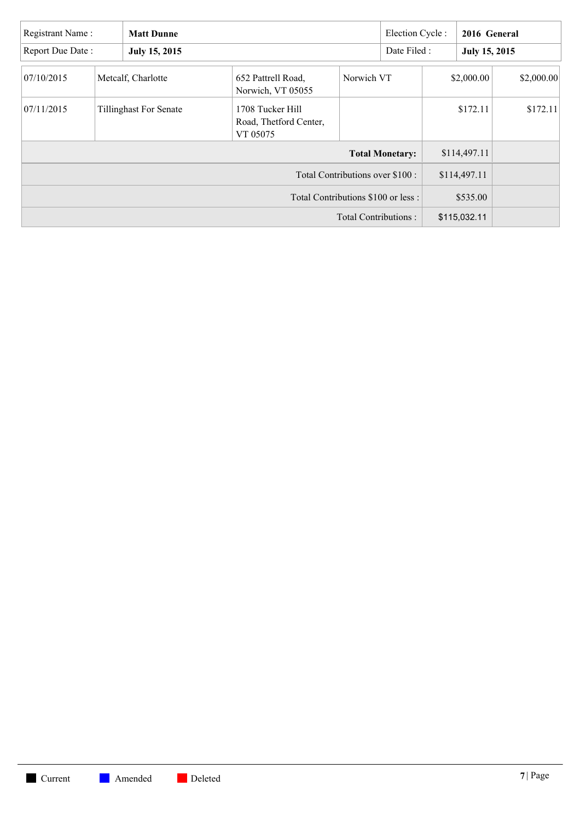| Registrant Name: | <b>Matt Dunne</b>             |                                                        |                                  | Election Cycle:        |              | 2016 General |               |
|------------------|-------------------------------|--------------------------------------------------------|----------------------------------|------------------------|--------------|--------------|---------------|
| Report Due Date: | July 15, 2015                 |                                                        |                                  |                        | Date Filed : |              | July 15, 2015 |
| 07/10/2015       | Metcalf, Charlotte            | 652 Pattrell Road,<br>Norwich, VT 05055                | Norwich VT                       |                        |              | \$2,000.00   | \$2,000.00    |
| 07/11/2015       | <b>Tillinghast For Senate</b> | 1708 Tucker Hill<br>Road, Thetford Center,<br>VT 05075 |                                  |                        |              | \$172.11     | \$172.11      |
|                  |                               |                                                        |                                  | <b>Total Monetary:</b> |              | \$114,497.11 |               |
|                  |                               |                                                        | Total Contributions over \$100 : |                        |              | \$114,497.11 |               |
|                  |                               | Total Contributions \$100 or less :                    |                                  |                        |              | \$535.00     |               |
|                  |                               |                                                        | Total Contributions:             |                        |              | \$115,032.11 |               |